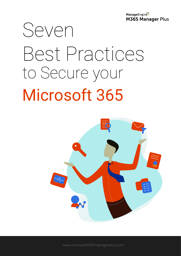**ManageEngine M365 Manager Plus** 

# Seven Best Practices to Secure your Microsoft 365



www.microsoft[365managerplus.com](https://www.manageengine.com/microsoft-365-management-reporting/index.html?utm_source=pdf&utm_content=security-monitoring-best-practices-pdf)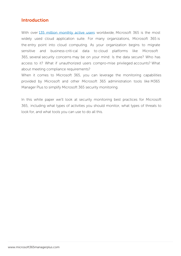# Introduction

With over [135 million monthly active users](https://www.nasdaq.com/aspx/call-transcript.aspx?StoryId=4188569&Title=microsoft-corporation-msft-ceo-satya-nadella-on-q4-2018-results-earnings-call-transcript) worldwide, Microsoft 365 is the most widely used cloud application suite. For many organizations, Microsoft 365 is the entry point into cloud computing. As your organization begins to migrate sensitive and business-criti-cal data to cloud platforms like Microsoft 365, several security concerns may be on your mind: Is the data secure? Who has access to it? What if unauthorized users compro-mise privileged accounts? What about meeting compliance requirements?

When it comes to Microsoft 365, you can leverage the monitoring capabilities provided by Microsoft and other Microsoft 365 administration tools like M365 Manager Plus to simplify Microsoft 365 security monitoring.

In this white paper we'll look at security monitoring best practices for Microsoft 365, including what types of activities you should monitor, what types of threats to look for, and what tools you can use to do all this.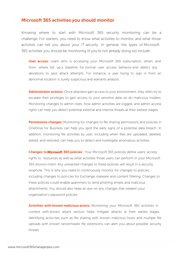## Microsoft 365 activities you should monitor

Knowing where to start with Microsoft 365 security monitoring can be a challenge. For starters, you need to know what activities to monitor and what those activities can tell you about your IT security. In general, the types of Microsoft 365 activities you should be monitoring (if you're not already doing so) include:

User access: Learn who is accessing your Microsoft 365 subscription, when, and from where. Set up a baseline for normal user access behavior and detect any deviations to spot attack attempts. For instance, a user trying to sign in from an abnormal location is surely suspicious and warrants analysis.

Administrator actions: Once attackers gain access to your environment, they often try to escalate their privileges to gain access to your sensitive data—as do malicious insiders. Monitoring changes to admin roles, how admin activities are logged, and admin access rights can help you detect potential external and internal threats at their earliest stages.

**Permissions changes:** Monitoring for changes to file sharing permissions and policies in OneDrive for Business can help you spot the early signs of a potential data breach. In addition, monitoring file activities by user, including when files are uploaded, deleted, edited, and restored, can help you to detect and investigate anomalous activities.

**Changes to Microsoft 365 policies:** Your Microsoft 365 policies define users' access rights to resources as well as what activities those users can perform in your Microsoft 365 environ-ment. Any unwanted changes to these policies will result in a security loophole. This is why you need to continuously monitor for changes to policies, including changes to poli-cies for Exchange malware and content filtering. Changes to these policies could enable spammers to send phishing emails and malicious attachments. You should also keep an eye on any changes that weaken your organization's password policies.

Activities with known malicious actors: Monitoring your Microsoft 365 activities in context with known attack vectors helps mitigate attacks at their earlies stages. Identifying activi-ties such as file sharing with known malicious hosts and multiple file uploads with known ransomware file extensions can alert you about possible security threats.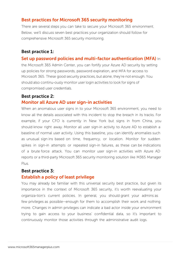# Best practices for Microsoft 365 security monitoring

There are several steps you can take to secure your Microsoft 365 environment. Below, we'll discuss seven best practices your organization should follow for comprehensive Microsoft 365 security monitoring.

## Best practice 1:

# Set up password policies and multi-factor authentication (MFA) In

the Microsoft 365 Admin Center, you can fortify your Azure AD security by setting up policies for strong passwords, password expiration, and MFA for access to Microsoft 365. These good security practices, but alone, they're not enough. You should also continu-ously monitor user login activities to look for signs of compromised user credentials.

## Best practice 2: Monitor all Azure AD user sign-in activities

When an anomalous user signs in to your Microsoft 365 environment, you need to know all the details associated with this incident to stop the breach in its tracks. For example, if your CFO is currently in New York but signs in from China, you should know right away. Monitor all user sign-in activity to Azure AD to establish a baseline of normal user activity. Using this baseline, you can identify anomalies such as unusual sign ins based on time, frequency, or location. Monitor for sudden spikes in sign-in attempts or repeated sign-in failures, as these can be indications of a brute force attack. You can monitor user sign-in activities with Azure AD reports or a third-party Microsoft 365 security monitoring solution like M365 Manager Plus.

# Best practice 3: Establish a policy of least privilege

You may already be familiar with this universal security best practice, but given its importance in the context of Microsoft 365 security, it's worth reevaluating your organiza-tion's current policies. In general, you should grant your admins as few privileges as possible—enough for them to accomplish their work and nothing more. Changes in admin privileges can indicate a bad actor inside your environment trying to gain access to your business' confidential data, so it's important to continuously monitor those activities through the administrative audit logs.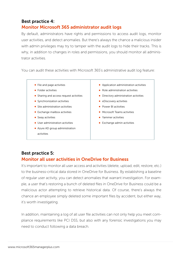# Best practice 4: Monitor Microsoft 365 administrator audit logs

By default, administrators have rights and permissions to access audit logs, monitor user activities, and detect anomalies. But there's always the chance a malicious insider with admin privileges may try to tamper with the audit logs to hide their tracks. This is why, in addition to changes in roles and permissions, you should monitor all administrator activities.

You can audit these activities with Microsoft 365's administrative audit log feature:

- File and page activities
- **•** Folder activities
- Sharing and access request activities
- **•** Synchronization activities
- Site administration activities
- Exchange mailbox activities
- Sway activities
- User administration activities
- Azure AD group administration activities
- Application administration activities
- Role administration activities
- **•** Directory administration activities
- **•** eDiscovery activities
- Power BI activities
- **Microsoft Teams activities**
- Yammer activities
- Exchange admin activities

# Best practice 5:

# Monitor all user activities in OneDrive for Business

It's important to monitor all user access and activities (delete, upload, edit, restore, etc.) to the business-critical data stored in OneDrive for Business. By establishing a baseline of regular user activity, you can detect anomalies that warrant investigation. For example, a user that's restoring a bunch of deleted files in OneDrive for Business could be a malicious actor attempting to retrieve historical data. Of course, there's always the chance an employee simply deleted some important files by accident, but either way, it's worth investigating.

In addition, maintaining a log of all user file activities can not only help you meet compliance requirements like PCI DSS, but also with any forensic investigations you may need to conduct following a data breach.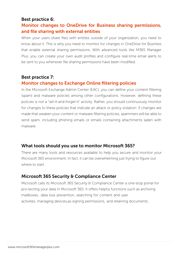# Best practice 6:

# Monitor changes to OneDrive for Business sharing permissions, and file sharing with external entities

When your users share files with entities outside of your organization, you need to know about it. This is why you need to monitor for changes in OneDrive for Business that enable external sharing permissions. With advanced tools like M365 Manager Plus, you can create your own audit profiles and configure real-time email alerts to be sent to you whenever file sharing permissions have been modified.

# Best practice 7: Monitor changes to Exchange Online filtering policies

In the Microsoft Exchange Admin Center (EAC), you can define your content filtering (spam) and malware policies among other configurations. However, defining these policies is not a "set-it-and-forget-it" activity. Rather, you should continuously monitor for changes to these policies that indicate an attack or policy violation. If changes are made that weaken your content or malware filtering policies, spammers will be able to send spam, including phishing emails or emails containing attachments laden with malware.

# What tools should you use to monitor Microsoft 365?

There are many tools and resources available to help you secure and monitor your Microsoft 365 environment. In fact, it can be overwhelming just trying to figure out where to start.

# Microsoft 365 Security & Compliance Center

Microsoft calls its Microsoft 365 Security & Compliance Center a one-stop portal for pro-tecting your data in Microsoft 365. It offers helpful functions such as archiving mailboxes, data loss prevention, searching for content and user activities, managing devices,as-signing permissions, and retaining documents.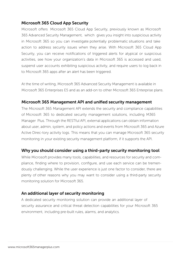# Microsoft 365 Cloud App Security

Microsoft offers Microsoft 365 Cloud App Security, previously known as Microsoft 365 Advanced Security Management, which gives you insight into suspicious activity in Microsoft 365 so you can investigate potentially problematic situations and take action to address security issues when they arise. With Microsoft 365 Cloud App Security, you can receive notifications of triggered alerts for atypical or suspicious activities, see how your organization's data in Microsoft 365 is accessed and used, suspend user accounts exhibiting suspicious activity, and require users to log back in to Microsoft 365 apps after an alert has been triggered.

At the time of writing, Microsoft 365 Advanced Security Management is available in Microsoft 365 Enterprises E5 and as an add-on to other Microsoft 365 Enterprise plans.

## Microsoft 365 Management API and unified security management

The Microsoft 365 Management API extends the security and compliance capabilities of Microsoft 365 to dedicated security management solutions, including M365 Manager Plus. Through the RESTful API, external applications can obtain information about user, admin, system, and policy actions and events from Microsoft 365 and Azure Active Direc-tory activity logs. This means that you can manage Microsoft 365 security monitoring in your existing security management platform, if it supports the API.

## Why you should consider using a third-party security monitoring tool

While Microsoft provides many tools, capabilities, and resources for security and compliance, finding where to provision, configure, and use each service can be tremendously challenging. While the user experience is just one factor to consider, there are plenty of other reasons why you may want to consider using a third-party security monitoring solution for Microsoft 365.

## An additional layer of security monitoring

A dedicated security monitoring solution can provide an additional layer of security assurance and critical threat detection capabilities for your Microsoft 365 environment, including pre-built rules, alarms, and analytics.